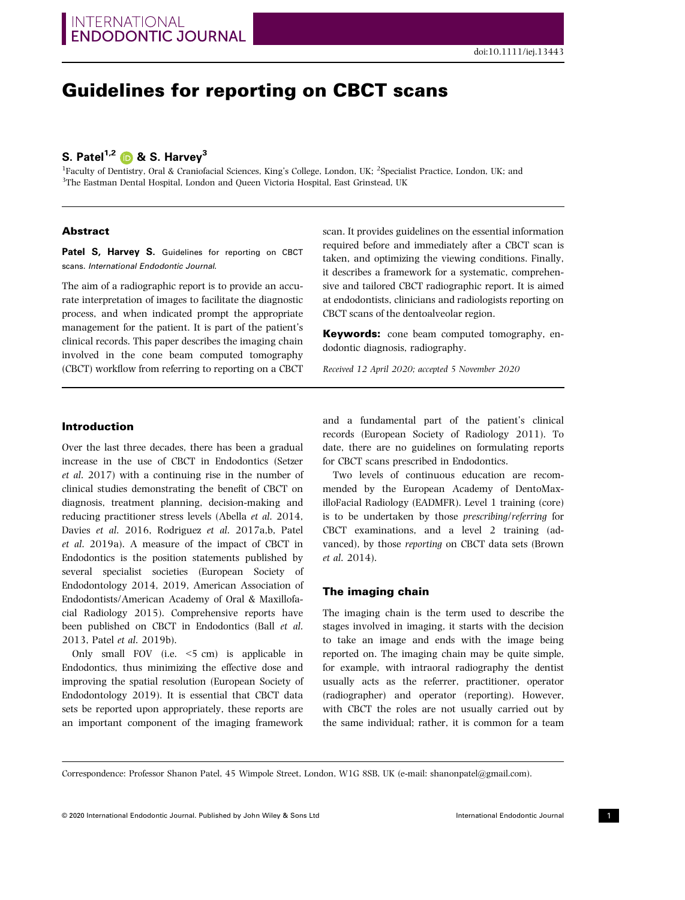# Guidelines for reporting on CBCT scans

## S. Patel<sup>1,2</sup>  $\bullet$  & S. Harvey<sup>3</sup>

<sup>1</sup>Faculty of Dentistry, Oral & Craniofacial Sciences, King's College, London, UK; <sup>2</sup>Specialist Practice, London, UK; and <sup>3</sup>The Eastman Dental Hospital, London and Queen Victoria Hospital, East Grinstead, UK

### Abstract

Patel S, Harvey S. Guidelines for reporting on CBCT scans. International Endodontic Journal.

The aim of a radiographic report is to provide an accurate interpretation of images to facilitate the diagnostic process, and when indicated prompt the appropriate management for the patient. It is part of the patient's clinical records. This paper describes the imaging chain involved in the cone beam computed tomography (CBCT) workflow from referring to reporting on a CBCT scan. It provides guidelines on the essential information required before and immediately after a CBCT scan is taken, and optimizing the viewing conditions. Finally, it describes a framework for a systematic, comprehensive and tailored CBCT radiographic report. It is aimed at endodontists, clinicians and radiologists reporting on CBCT scans of the dentoalveolar region.

**Keywords:** cone beam computed tomography, endodontic diagnosis, radiography.

Received 12 April 2020; accepted 5 November 2020

### Introduction

Over the last three decades, there has been a gradual increase in the use of CBCT in Endodontics (Setzer et al. 2017) with a continuing rise in the number of clinical studies demonstrating the benefit of CBCT on diagnosis, treatment planning, decision-making and reducing practitioner stress levels (Abella et al. 2014, Davies et al. 2016, Rodriguez et al. 2017a,b, Patel et al. 2019a). A measure of the impact of CBCT in Endodontics is the position statements published by several specialist societies (European Society of Endodontology 2014, 2019, American Association of Endodontists/American Academy of Oral & Maxillofacial Radiology 2015). Comprehensive reports have been published on CBCT in Endodontics (Ball et al. 2013, Patel et al. 2019b).

Only small FOV (i.e. <5 cm) is applicable in Endodontics, thus minimizing the effective dose and improving the spatial resolution (European Society of Endodontology 2019). It is essential that CBCT data sets be reported upon appropriately, these reports are an important component of the imaging framework and a fundamental part of the patient's clinical records (European Society of Radiology 2011). To date, there are no guidelines on formulating reports for CBCT scans prescribed in Endodontics.

Two levels of continuous education are recommended by the European Academy of DentoMaxilloFacial Radiology (EADMFR). Level 1 training (core) is to be undertaken by those prescribing/referring for CBCT examinations, and a level 2 training (advanced), by those reporting on CBCT data sets (Brown et al. 2014).

### The imaging chain

The imaging chain is the term used to describe the stages involved in imaging, it starts with the decision to take an image and ends with the image being reported on. The imaging chain may be quite simple, for example, with intraoral radiography the dentist usually acts as the referrer, practitioner, operator (radiographer) and operator (reporting). However, with CBCT the roles are not usually carried out by the same individual; rather, it is common for a team

Correspondence: Professor Shanon Patel, 45 Wimpole Street, London, W1G 8SB, UK (e-mail: [shanonpatel@gmail.com](mailto:)).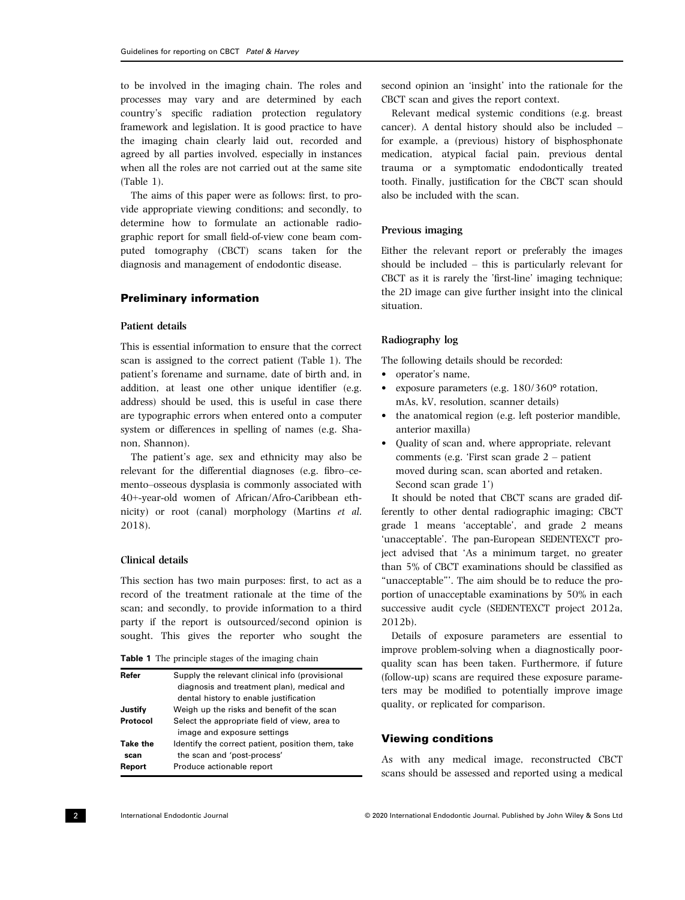to be involved in the imaging chain. The roles and processes may vary and are determined by each country's specific radiation protection regulatory framework and legislation. It is good practice to have the imaging chain clearly laid out, recorded and agreed by all parties involved, especially in instances when all the roles are not carried out at the same site (Table 1).

The aims of this paper were as follows: first, to provide appropriate viewing conditions; and secondly, to determine how to formulate an actionable radiographic report for small field-of-view cone beam computed tomography (CBCT) scans taken for the diagnosis and management of endodontic disease.

### Preliminary information

### Patient details

This is essential information to ensure that the correct scan is assigned to the correct patient (Table 1). The patient's forename and surname, date of birth and, in addition, at least one other unique identifier (e.g. address) should be used, this is useful in case there are typographic errors when entered onto a computer system or differences in spelling of names (e.g. Shanon, Shannon).

The patient's age, sex and ethnicity may also be relevant for the differential diagnoses (e.g. fibro–cemento–osseous dysplasia is commonly associated with 40+-year-old women of African/Afro-Caribbean ethnicity) or root (canal) morphology (Martins et al. 2018).

### Clinical details

This section has two main purposes: first, to act as a record of the treatment rationale at the time of the scan; and secondly, to provide information to a third party if the report is outsourced/second opinion is sought. This gives the reporter who sought the

| <b>Table 1</b> The principle stages of the imaging chain |  |
|----------------------------------------------------------|--|
|----------------------------------------------------------|--|

| Refer            | Supply the relevant clinical info (provisional                                   |
|------------------|----------------------------------------------------------------------------------|
|                  | diagnosis and treatment plan), medical and                                       |
|                  | dental history to enable justification                                           |
| Justify          | Weigh up the risks and benefit of the scan                                       |
| Protocol         | Select the appropriate field of view, area to<br>image and exposure settings     |
| Take the<br>scan | Identify the correct patient, position them, take<br>the scan and 'post-process' |
| Report           | Produce actionable report                                                        |

second opinion an 'insight' into the rationale for the CBCT scan and gives the report context.

Relevant medical systemic conditions (e.g. breast cancer). A dental history should also be included – for example, a (previous) history of bisphosphonate medication, atypical facial pain, previous dental trauma or a symptomatic endodontically treated tooth. Finally, justification for the CBCT scan should also be included with the scan.

### Previous imaging

Either the relevant report or preferably the images should be included – this is particularly relevant for CBCT as it is rarely the 'first-line' imaging technique; the 2D image can give further insight into the clinical situation.

### Radiography log

The following details should be recorded:

- operator's name,
- exposure parameters (e.g. 180/360° rotation, mAs, kV, resolution, scanner details)
- the anatomical region (e.g. left posterior mandible, anterior maxilla)
- Quality of scan and, where appropriate, relevant comments (e.g. 'First scan grade 2 – patient moved during scan, scan aborted and retaken. Second scan grade 1')

It should be noted that CBCT scans are graded differently to other dental radiographic imaging; CBCT grade 1 means 'acceptable', and grade 2 means 'unacceptable'. The pan-European SEDENTEXCT project advised that 'As a minimum target, no greater than 5% of CBCT examinations should be classified as "unacceptable"'. The aim should be to reduce the proportion of unacceptable examinations by 50% in each successive audit cycle (SEDENTEXCT project 2012a, 2012b).

Details of exposure parameters are essential to improve problem-solving when a diagnostically poorquality scan has been taken. Furthermore, if future (follow-up) scans are required these exposure parameters may be modified to potentially improve image quality, or replicated for comparison.

### Viewing conditions

As with any medical image, reconstructed CBCT scans should be assessed and reported using a medical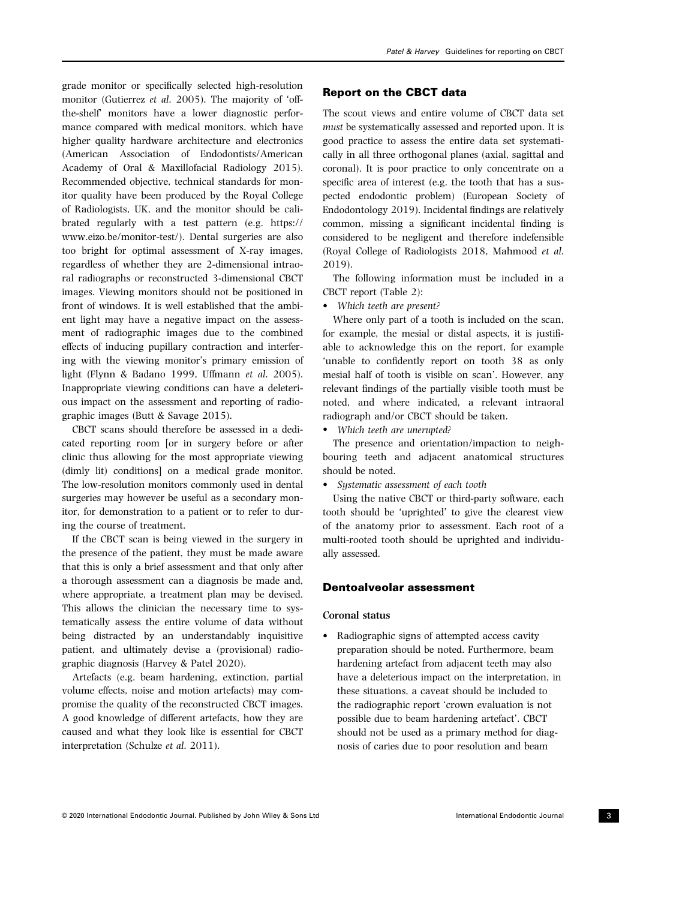grade monitor or specifically selected high-resolution monitor (Gutierrez et al. 2005). The majority of 'offthe-shelf' monitors have a lower diagnostic performance compared with medical monitors, which have higher quality hardware architecture and electronics (American Association of Endodontists/American Academy of Oral & Maxillofacial Radiology 2015). Recommended objective, technical standards for monitor quality have been produced by the Royal College of Radiologists, UK, and the monitor should be calibrated regularly with a test pattern (e.g. [https://](https://www.eizo.be/monitor-test/) [www.eizo.be/monitor-test/\)](https://www.eizo.be/monitor-test/). Dental surgeries are also too bright for optimal assessment of X-ray images, regardless of whether they are 2-dimensional intraoral radiographs or reconstructed 3-dimensional CBCT images. Viewing monitors should not be positioned in front of windows. It is well established that the ambient light may have a negative impact on the assessment of radiographic images due to the combined effects of inducing pupillary contraction and interfering with the viewing monitor's primary emission of light (Flynn & Badano 1999, Uffmann et al. 2005). Inappropriate viewing conditions can have a deleterious impact on the assessment and reporting of radiographic images (Butt & Savage 2015).

CBCT scans should therefore be assessed in a dedicated reporting room [or in surgery before or after clinic thus allowing for the most appropriate viewing (dimly lit) conditions] on a medical grade monitor. The low-resolution monitors commonly used in dental surgeries may however be useful as a secondary monitor, for demonstration to a patient or to refer to during the course of treatment.

If the CBCT scan is being viewed in the surgery in the presence of the patient, they must be made aware that this is only a brief assessment and that only after a thorough assessment can a diagnosis be made and, where appropriate, a treatment plan may be devised. This allows the clinician the necessary time to systematically assess the entire volume of data without being distracted by an understandably inquisitive patient, and ultimately devise a (provisional) radiographic diagnosis (Harvey & Patel 2020).

Artefacts (e.g. beam hardening, extinction, partial volume effects, noise and motion artefacts) may compromise the quality of the reconstructed CBCT images. A good knowledge of different artefacts, how they are caused and what they look like is essential for CBCT interpretation (Schulze et al. 2011).

#### © 2020 International Endodontic Journal. Published by John Wiley & Sons Ltd International Endodontic Journal 3

### Report on the CBCT data

The scout views and entire volume of CBCT data set must be systematically assessed and reported upon. It is good practice to assess the entire data set systematically in all three orthogonal planes (axial, sagittal and coronal). It is poor practice to only concentrate on a specific area of interest (e.g. the tooth that has a suspected endodontic problem) (European Society of Endodontology 2019). Incidental findings are relatively common, missing a significant incidental finding is considered to be negligent and therefore indefensible (Royal College of Radiologists 2018, Mahmood et al. 2019).

The following information must be included in a CBCT report (Table 2):

• Which teeth are present?

Where only part of a tooth is included on the scan, for example, the mesial or distal aspects, it is justifiable to acknowledge this on the report, for example 'unable to confidently report on tooth 38 as only mesial half of tooth is visible on scan'. However, any relevant findings of the partially visible tooth must be noted, and where indicated, a relevant intraoral radiograph and/or CBCT should be taken.

• Which teeth are unerupted?

The presence and orientation/impaction to neighbouring teeth and adjacent anatomical structures should be noted.

• Systematic assessment of each tooth

Using the native CBCT or third-party software, each tooth should be 'uprighted' to give the clearest view of the anatomy prior to assessment. Each root of a multi-rooted tooth should be uprighted and individually assessed.

### Dentoalveolar assessment

#### Coronal status

• Radiographic signs of attempted access cavity preparation should be noted. Furthermore, beam hardening artefact from adjacent teeth may also have a deleterious impact on the interpretation, in these situations, a caveat should be included to the radiographic report 'crown evaluation is not possible due to beam hardening artefact'. CBCT should not be used as a primary method for diagnosis of caries due to poor resolution and beam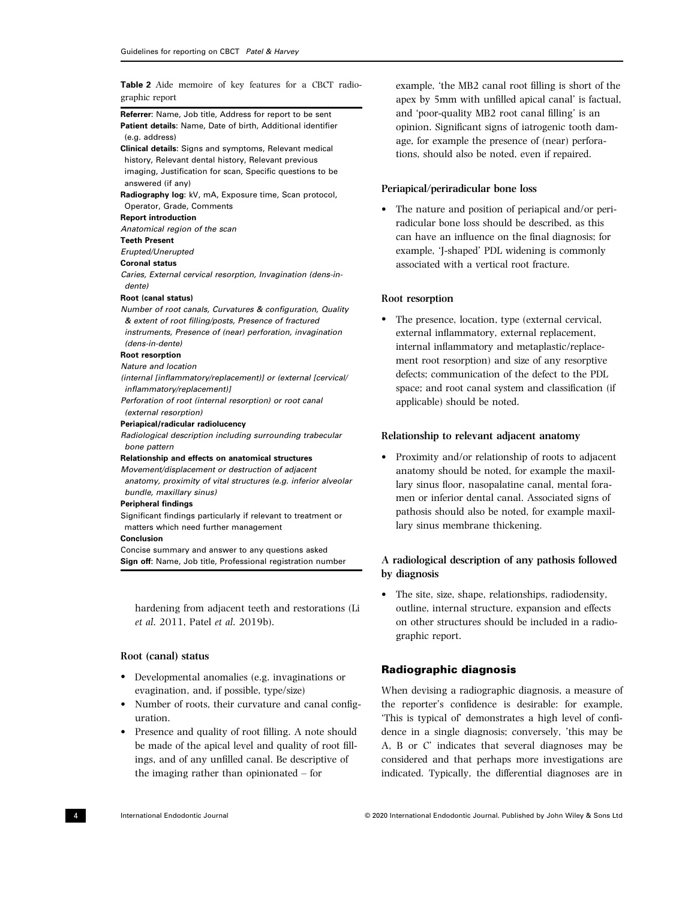Table 2 Aide memoire of key features for a CBCT radiographic report

Referrer: Name, Job title, Address for report to be sent Patient details: Name, Date of birth, Additional identifier (e.g. address)

Clinical details: Signs and symptoms, Relevant medical history, Relevant dental history, Relevant previous imaging, Justification for scan, Specific questions to be answered (if any)

Radiography log: kV, mA, Exposure time, Scan protocol, Operator, Grade, Comments

#### Report introduction

Anatomical region of the scan

### Teeth Present

Erupted/Unerupted

#### Coronal status

Caries, External cervical resorption, Invagination (dens-indente)

#### Root (canal status)

Number of root canals, Curvatures & configuration, Quality & extent of root filling/posts, Presence of fractured instruments, Presence of (near) perforation, invagination

(dens-in-dente) Root resorption

Nature and location

(internal [inflammatory/replacement)] or (external [cervical/ inflammatory/replacement)]

Perforation of root (internal resorption) or root canal (external resorption)

#### Periapical/radicular radiolucency

Radiological description including surrounding trabecular bone pattern

### Relationship and effects on anatomical structures

Movement/displacement or destruction of adjacent anatomy, proximity of vital structures (e.g. inferior alveolar bundle, maxillary sinus)

#### Peripheral findings

Significant findings particularly if relevant to treatment or matters which need further management

#### Conclusion

Concise summary and answer to any questions asked Sign off: Name, Job title, Professional registration number

hardening from adjacent teeth and restorations (Li et al. 2011, Patel et al. 2019b).

### Root (canal) status

- Developmental anomalies (e.g. invaginations or evagination, and, if possible, type/size)
- Number of roots, their curvature and canal configuration.
- Presence and quality of root filling. A note should be made of the apical level and quality of root fillings, and of any unfilled canal. Be descriptive of the imaging rather than opinionated – for

example, 'the MB2 canal root filling is short of the apex by 5mm with unfilled apical canal' is factual, and 'poor-quality MB2 root canal filling' is an opinion. Significant signs of iatrogenic tooth damage, for example the presence of (near) perforations, should also be noted, even if repaired.

#### Periapical/periradicular bone loss

• The nature and position of periapical and/or periradicular bone loss should be described, as this can have an influence on the final diagnosis; for example, 'J-shaped' PDL widening is commonly associated with a vertical root fracture.

### Root resorption

The presence, location, type (external cervical, external inflammatory, external replacement, internal inflammatory and metaplastic/replacement root resorption) and size of any resorptive defects; communication of the defect to the PDL space; and root canal system and classification (if applicable) should be noted.

### Relationship to relevant adjacent anatomy

• Proximity and/or relationship of roots to adjacent anatomy should be noted, for example the maxillary sinus floor, nasopalatine canal, mental foramen or inferior dental canal. Associated signs of pathosis should also be noted, for example maxillary sinus membrane thickening.

### A radiological description of any pathosis followed by diagnosis

• The site, size, shape, relationships, radiodensity, outline, internal structure, expansion and effects on other structures should be included in a radiographic report.

### Radiographic diagnosis

When devising a radiographic diagnosis, a measure of the reporter's confidence is desirable: for example, 'This is typical of' demonstrates a high level of confidence in a single diagnosis; conversely, 'this may be A, B or C' indicates that several diagnoses may be considered and that perhaps more investigations are indicated. Typically, the differential diagnoses are in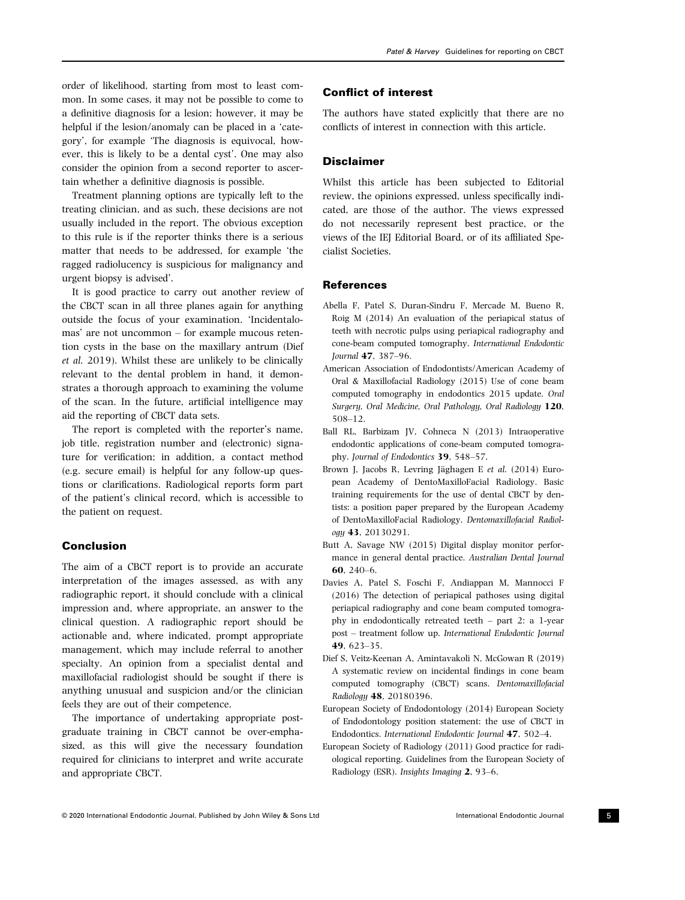order of likelihood, starting from most to least common. In some cases, it may not be possible to come to a definitive diagnosis for a lesion; however, it may be helpful if the lesion/anomaly can be placed in a 'category', for example 'The diagnosis is equivocal, however, this is likely to be a dental cyst'. One may also consider the opinion from a second reporter to ascertain whether a definitive diagnosis is possible.

Treatment planning options are typically left to the treating clinician, and as such, these decisions are not usually included in the report. The obvious exception to this rule is if the reporter thinks there is a serious matter that needs to be addressed, for example 'the ragged radiolucency is suspicious for malignancy and urgent biopsy is advised'.

It is good practice to carry out another review of the CBCT scan in all three planes again for anything outside the focus of your examination. 'Incidentalomas' are not uncommon – for example mucous retention cysts in the base on the maxillary antrum (Dief et al. 2019). Whilst these are unlikely to be clinically relevant to the dental problem in hand, it demonstrates a thorough approach to examining the volume of the scan. In the future, artificial intelligence may aid the reporting of CBCT data sets.

The report is completed with the reporter's name, job title, registration number and (electronic) signature for verification; in addition, a contact method (e.g. secure email) is helpful for any follow-up questions or clarifications. Radiological reports form part of the patient's clinical record, which is accessible to the patient on request.

### Conclusion

The aim of a CBCT report is to provide an accurate interpretation of the images assessed, as with any radiographic report, it should conclude with a clinical impression and, where appropriate, an answer to the clinical question. A radiographic report should be actionable and, where indicated, prompt appropriate management, which may include referral to another specialty. An opinion from a specialist dental and maxillofacial radiologist should be sought if there is anything unusual and suspicion and/or the clinician feels they are out of their competence.

The importance of undertaking appropriate postgraduate training in CBCT cannot be over-emphasized, as this will give the necessary foundation required for clinicians to interpret and write accurate and appropriate CBCT.

### Conflict of interest

The authors have stated explicitly that there are no conflicts of interest in connection with this article.

### Disclaimer

Whilst this article has been subjected to Editorial review, the opinions expressed, unless specifically indicated, are those of the author. The views expressed do not necessarily represent best practice, or the views of the IEJ Editorial Board, or of its affiliated Specialist Societies.

### References

- Abella F, Patel S, Duran-Sindru F, Mercade M, Bueno R, Roig M (2014) An evaluation of the periapical status of teeth with necrotic pulps using periapical radiography and cone-beam computed tomography. International Endodontic Journal 47, 387–96.
- American Association of Endodontists/American Academy of Oral & Maxillofacial Radiology (2015) Use of cone beam computed tomography in endodontics 2015 update. Oral Surgery, Oral Medicine, Oral Pathology, Oral Radiology 120, 508–12.
- Ball RL, Barbizam JV, Cohneca N (2013) Intraoperative endodontic applications of cone-beam computed tomography. Journal of Endodontics 39, 548–57.
- Brown J, Jacobs R, Levring Jäghagen E et al. (2014) European Academy of DentoMaxilloFacial Radiology. Basic training requirements for the use of dental CBCT by dentists: a position paper prepared by the European Academy of DentoMaxilloFacial Radiology. Dentomaxillofacial Radiology 43, 20130291.
- Butt A, Savage NW (2015) Digital display monitor performance in general dental practice. Australian Dental Journal 60, 240–6.
- Davies A, Patel S, Foschi F, Andiappan M, Mannocci F (2016) The detection of periapical pathoses using digital periapical radiography and cone beam computed tomography in endodontically retreated teeth – part 2: a 1-year post – treatment follow up. International Endodontic Journal 49, 623–35.
- Dief S, Veitz-Keenan A, Amintavakoli N, McGowan R (2019) A systematic review on incidental findings in cone beam computed tomography (CBCT) scans. Dentomaxillofacial Radiology 48, 20180396.
- European Society of Endodontology (2014) European Society of Endodontology position statement: the use of CBCT in Endodontics. International Endodontic Journal 47, 502–4.
- European Society of Radiology (2011) Good practice for radiological reporting. Guidelines from the European Society of Radiology (ESR). Insights Imaging 2, 93–6.